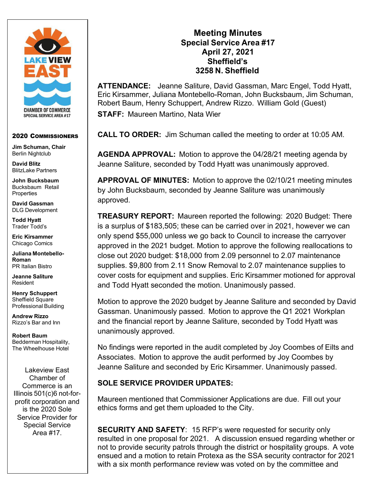

#### 2020 COMMISSIONERS

**Jim Schuman, Chair** Berlin Nightclub

**David Blitz** BlitzLake Partners

**John Bucksbaum**  Bucksbaum Retail **Properties** 

**David Gassman** DLG Development

**Todd Hyatt** Trader Todd's

**Eric Kirsammer** Chicago Comics

**Juliana Montebello-Roman** PR Italian Bistro

**Jeanne Saliture** Resident

**Henry Schuppert**  Sheffield Square Professional Building

**Andrew Rizzo** Rizzo's Bar and Inn

**Robert Baum**  Bedderman Hospitality, The Wheelhouse Hotel

Lakeview East Chamber of Commerce is an Illinois 501(c)6 not-forprofit corporation and is the 2020 Sole Service Provider for Special Service Area #17.

# **Meeting Minutes Special Service Area #17 April 27, 2021 Sheffield's 3258 N. Sheffield**

**ATTENDANCE:** Jeanne Saliture, David Gassman, Marc Engel, Todd Hyatt, Eric Kirsammer, Juliana Montebello-Roman, John Bucksbaum, Jim Schuman, Robert Baum, Henry Schuppert, Andrew Rizzo. William Gold (Guest) **STAFF:** Maureen Martino, Nata Wier

**CALL TO ORDER:** Jim Schuman called the meeting to order at 10:05 AM.

**AGENDA APPROVAL:** Motion to approve the 04/28/21 meeting agenda by Jeanne Saliture, seconded by Todd Hyatt was unanimously approved.

**APPROVAL OF MINUTES:** Motion to approve the 02/10/21 meeting minutes by John Bucksbaum, seconded by Jeanne Saliture was unanimously approved.

**TREASURY REPORT:** Maureen reported the following: 2020 Budget: There is a surplus of \$183,505; these can be carried over in 2021, however we can only spend \$55,000 unless we go back to Council to increase the carryover approved in the 2021 budget. Motion to approve the following reallocations to close out 2020 budget: \$18,000 from 2.09 personnel to 2.07 maintenance supplies. \$9,800 from 2.11 Snow Removal to 2.07 maintenance supplies to cover costs for equipment and supplies. Eric Kirsammer motioned for approval and Todd Hyatt seconded the motion. Unanimously passed.

Motion to approve the 2020 budget by Jeanne Saliture and seconded by David Gassman. Unanimously passed. Motion to approve the Q1 2021 Workplan and the financial report by Jeanne Saliture, seconded by Todd Hyatt was unanimously approved.

No findings were reported in the audit completed by Joy Coombes of Eilts and Associates. Motion to approve the audit performed by Joy Coombes by Jeanne Saliture and seconded by Eric Kirsammer. Unanimously passed.

#### **SOLE SERVICE PROVIDER UPDATES:**

Maureen mentioned that Commissioner Applications are due. Fill out your ethics forms and get them uploaded to the City.

**SECURITY AND SAFETY**: 15 RFP's were requested for security only resulted in one proposal for 2021. A discussion ensued regarding whether or not to provide security patrols through the district or hospitality groups. A vote ensued and a motion to retain Protexa as the SSA security contractor for 2021 with a six month performance review was voted on by the committee and